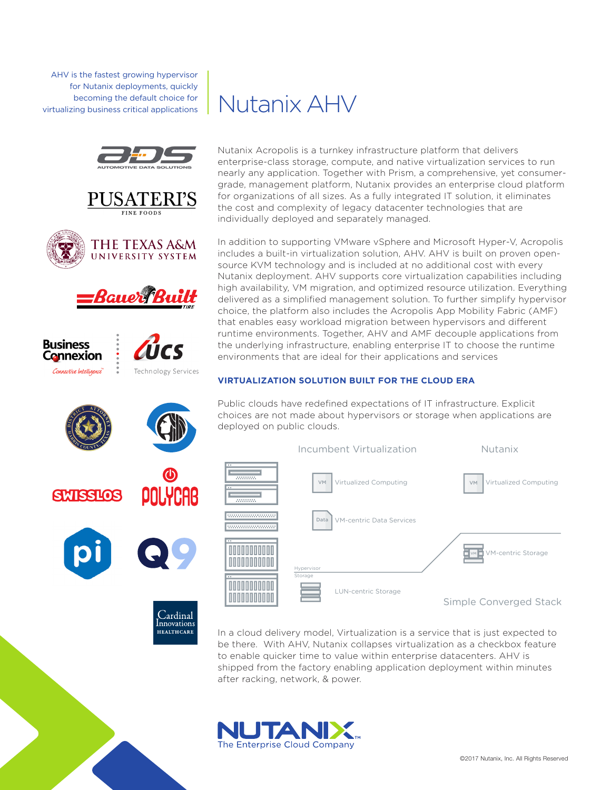AHV is the fastest growing hypervisor for Nutanix deployments, quickly becoming the default choice for virtualizing business critical applications













**HEALTHCARE** 



Nutanix Acropolis is a turnkey infrastructure platform that delivers enterprise-class storage, compute, and native virtualization services to run nearly any application. Together with Prism, a comprehensive, yet consumergrade, management platform, Nutanix provides an enterprise cloud platform for organizations of all sizes. As a fully integrated IT solution, it eliminates the cost and complexity of legacy datacenter technologies that are individually deployed and separately managed.

In addition to supporting VMware vSphere and Microsoft Hyper-V, Acropolis includes a built-in virtualization solution, AHV. AHV is built on proven opensource KVM technology and is included at no additional cost with every Nutanix deployment. AHV supports core virtualization capabilities including high availability, VM migration, and optimized resource utilization. Everything delivered as a simplified management solution. To further simplify hypervisor choice, the platform also includes the Acropolis App Mobility Fabric (AMF) that enables easy workload migration between hypervisors and different runtime environments. Together, AHV and AMF decouple applications from the underlying infrastructure, enabling enterprise IT to choose the runtime environments that are ideal for their applications and services

## **VIRTUALIZATION SOLUTION BUILT FOR THE CLOUD ERA**

Public clouds have redefined expectations of IT infrastructure. Explicit choices are not made about hypervisors or storage when applications are deployed on public clouds.



In a cloud delivery model, Virtualization is a service that is just expected to be there. With AHV, Nutanix collapses virtualization as a checkbox feature to enable quicker time to value within enterprise datacenters. AHV is shipped from the factory enabling application deployment within minutes after racking, network, & power.